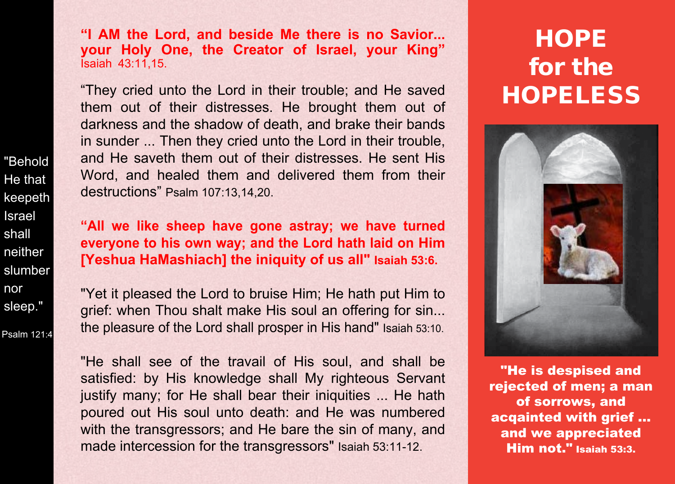"Behold He that keepeth Israel shall neither slumber nor sleep."

Psalm 121:4

**"I AM the Lord, and beside Me there is no Savior... your Holy One, the Creator of Israel, your King"** Isaiah 43:11,15.

"They cried unto the Lord in their trouble; and He saved them out of their distresses. He brought them out of darkness and the shadow of death, and brake their bands in sunder ... Then they cried unto the Lord in their trouble, and He saveth them out of their distresses. He sent His Word, and healed them and delivered them from their destructions" Psalm 107:13,14,20.

**"All we like sheep have gone astray; we have turned everyone to his own way; and the Lord hath laid on Him [Yeshua HaMashiach] the iniquity of us all" Isaiah 53:6.**

"Yet it pleased the Lord to bruise Him; He hath put Him to grief: when Thou shalt make His soul an offering for sin... the pleasure of the Lord shall prosper in His hand" Isaiah 53:10.

"He shall see of the travail of His soul, and shall be satisfied: by His knowledge shall My righteous Servant justify many; for He shall bear their iniquities ... He hath poured out His soul unto death: and He was numbered with the transgressors; and He bare the sin of many, and made intercession for the transgressors" Isaiah 53:11-12.

## **HOPE** for the **HOPELESS**



"He is despised and rejected of men; a man of sorrows, and acqainted with grief ... and we appreciated Him not." Isaiah 53:3.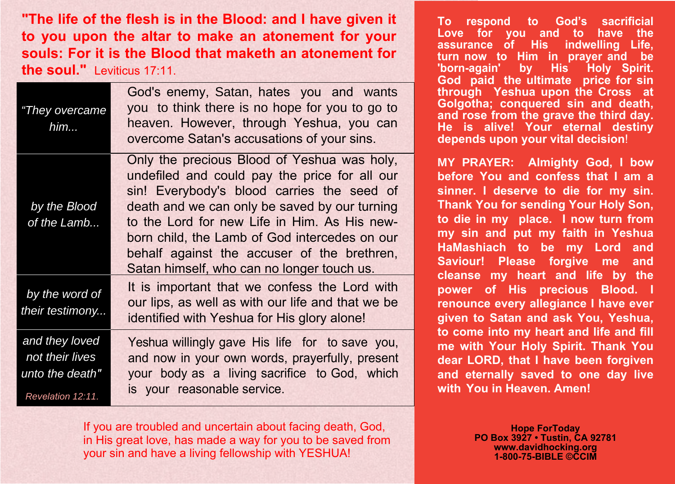**"The life of the flesh is in the Blood: and I have given it to you upon the altar to make an atonement for your souls: For it is the Blood that maketh an atonement for the soul."** Leviticus 17:11.

| "They overcame<br>him                                                     | God's enemy, Satan, hates you and wants<br>you to think there is no hope for you to go to<br>heaven. However, through Yeshua, you can<br>overcome Satan's accusations of your sins.                                                                                                                                                                                                       |
|---------------------------------------------------------------------------|-------------------------------------------------------------------------------------------------------------------------------------------------------------------------------------------------------------------------------------------------------------------------------------------------------------------------------------------------------------------------------------------|
| by the Blood<br>of the Lamb                                               | Only the precious Blood of Yeshua was holy,<br>undefiled and could pay the price for all our<br>sin! Everybody's blood carries the seed of<br>death and we can only be saved by our turning<br>to the Lord for new Life in Him. As His new-<br>born child, the Lamb of God intercedes on our<br>behalf against the accuser of the brethren,<br>Satan himself, who can no longer touch us. |
| by the word of<br>their testimony                                         | It is important that we confess the Lord with<br>our lips, as well as with our life and that we be<br>identified with Yeshua for His glory alone!                                                                                                                                                                                                                                         |
| and they loved<br>not their lives<br>unto the death"<br>Revelation 12:11. | Yeshua willingly gave His life for to save you,<br>and now in your own words, prayerfully, present<br>your body as a living sacrifice to God, which<br>is your reasonable service.                                                                                                                                                                                                        |

If you are troubled and uncertain about facing death, God, in His great love, has made a way for you to be saved from your sin and have a living fellowship with YESHUA!

**To respond to God's sacrificial Love for you and to have the assurance of His turn now to Him in prayer and be 'born-again' by His Holy Spirit. God paid the ultimate price for sin through Yeshua upon the Cross at Golgotha; conquered sin and death, and rose from the grave the third day. He is alive! Your eternal destiny depends upon your vital decision**!

**MY PRAYER: Almighty God, I bow before You and confess that I am a sinner. I deserve to die for my sin. Thank You for sending Your Holy Son, to die in my place. I now turn from my sin and put my faith in Yeshua HaMashiach to be my Lord and Saviour! Please forgive me and cleanse my heart and life by the power of His precious Blood. I renounce every allegiance I have ever given to Satan and ask You, Yeshua, to come into my heart and life and fill me with Your Holy Spirit. Thank You dear LORD, that I have been forgiven and eternally saved to one day live with You in Heaven. Amen!**

> **Hope ForToday PO Box 3927 • Tustin, CA 92781 www.davidhocking.org 1-800-75-BIBLE ©CCIM**